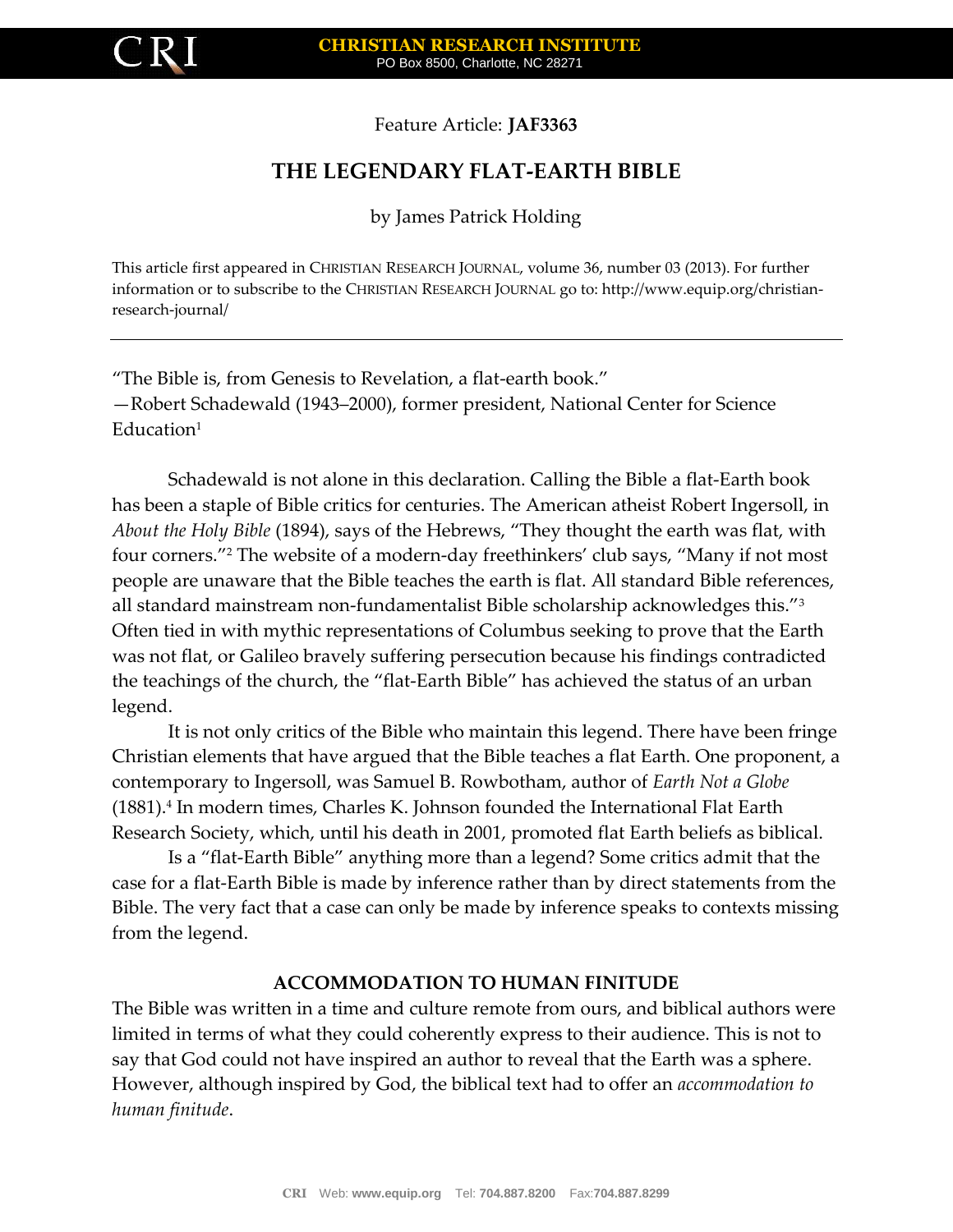

Feature Article: **JAF3363**

# **THE LEGENDARY FLAT-EARTH BIBLE**

by James Patrick Holding

This article first appeared in CHRISTIAN RESEARCH JOURNAL, volume 36, number 03 (2013). For further information or to subscribe to the CHRISTIAN RESEARCH JOURNAL go to: http://www.equip.org/christianresearch-journal/

"The Bible is, from Genesis to Revelation, a flat-earth book." —Robert Schadewald (1943–2000), former president, National Center for Science  $Education<sup>1</sup>$ 

Schadewald is not alone in this declaration. Calling the Bible a flat-Earth book has been a staple of Bible critics for centuries. The American atheist Robert Ingersoll, in *About the Holy Bible* (1894), says of the Hebrews, "They thought the earth was flat, with four corners."<sup>2</sup> The website of a modern-day freethinkers' club says, "Many if not most people are unaware that the Bible teaches the earth is flat. All standard Bible references, all standard mainstream non-fundamentalist Bible scholarship acknowledges this."<sup>3</sup> Often tied in with mythic representations of Columbus seeking to prove that the Earth was not flat, or Galileo bravely suffering persecution because his findings contradicted the teachings of the church, the "flat-Earth Bible" has achieved the status of an urban legend.

It is not only critics of the Bible who maintain this legend. There have been fringe Christian elements that have argued that the Bible teaches a flat Earth. One proponent, a contemporary to Ingersoll, was Samuel B. Rowbotham, author of *Earth Not a Globe*  (1881).<sup>4</sup> In modern times, Charles K. Johnson founded the International Flat Earth Research Society, which, until his death in 2001, promoted flat Earth beliefs as biblical.

Is a "flat-Earth Bible" anything more than a legend? Some critics admit that the case for a flat-Earth Bible is made by inference rather than by direct statements from the Bible. The very fact that a case can only be made by inference speaks to contexts missing from the legend.

## **ACCOMMODATION TO HUMAN FINITUDE**

The Bible was written in a time and culture remote from ours, and biblical authors were limited in terms of what they could coherently express to their audience. This is not to say that God could not have inspired an author to reveal that the Earth was a sphere. However, although inspired by God, the biblical text had to offer an *accommodation to human finitude*.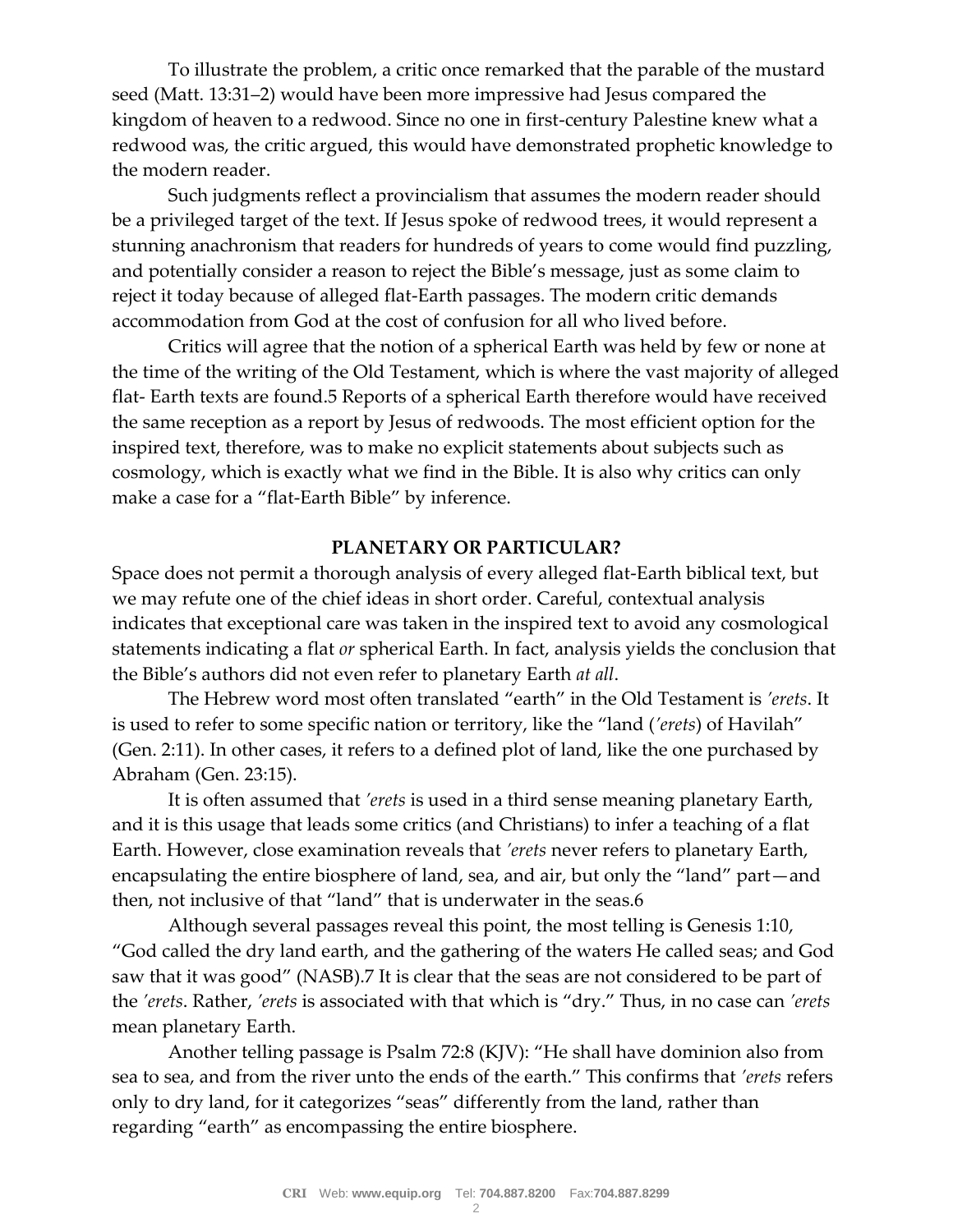To illustrate the problem, a critic once remarked that the parable of the mustard seed (Matt. 13:31–2) would have been more impressive had Jesus compared the kingdom of heaven to a redwood. Since no one in first-century Palestine knew what a redwood was, the critic argued, this would have demonstrated prophetic knowledge to the modern reader.

Such judgments reflect a provincialism that assumes the modern reader should be a privileged target of the text. If Jesus spoke of redwood trees, it would represent a stunning anachronism that readers for hundreds of years to come would find puzzling, and potentially consider a reason to reject the Bible's message, just as some claim to reject it today because of alleged flat-Earth passages. The modern critic demands accommodation from God at the cost of confusion for all who lived before.

Critics will agree that the notion of a spherical Earth was held by few or none at the time of the writing of the Old Testament, which is where the vast majority of alleged flat- Earth texts are found.5 Reports of a spherical Earth therefore would have received the same reception as a report by Jesus of redwoods. The most efficient option for the inspired text, therefore, was to make no explicit statements about subjects such as cosmology, which is exactly what we find in the Bible. It is also why critics can only make a case for a "flat-Earth Bible" by inference.

## **PLANETARY OR PARTICULAR?**

Space does not permit a thorough analysis of every alleged flat-Earth biblical text, but we may refute one of the chief ideas in short order. Careful, contextual analysis indicates that exceptional care was taken in the inspired text to avoid any cosmological statements indicating a flat *or* spherical Earth. In fact, analysis yields the conclusion that the Bible's authors did not even refer to planetary Earth *at all*.

The Hebrew word most often translated "earth" in the Old Testament is *'erets*. It is used to refer to some specific nation or territory, like the "land (*'erets*) of Havilah" (Gen. 2:11). In other cases, it refers to a defined plot of land, like the one purchased by Abraham (Gen. 23:15).

It is often assumed that *'erets* is used in a third sense meaning planetary Earth, and it is this usage that leads some critics (and Christians) to infer a teaching of a flat Earth. However, close examination reveals that *'erets* never refers to planetary Earth, encapsulating the entire biosphere of land, sea, and air, but only the "land" part—and then, not inclusive of that "land" that is underwater in the seas.6

Although several passages reveal this point, the most telling is Genesis 1:10, "God called the dry land earth, and the gathering of the waters He called seas; and God saw that it was good" (NASB).7 It is clear that the seas are not considered to be part of the *'erets*. Rather, *'erets* is associated with that which is "dry." Thus, in no case can *'erets* mean planetary Earth.

Another telling passage is Psalm 72:8 (KJV): "He shall have dominion also from sea to sea, and from the river unto the ends of the earth." This confirms that *'erets* refers only to dry land, for it categorizes "seas" differently from the land, rather than regarding "earth" as encompassing the entire biosphere.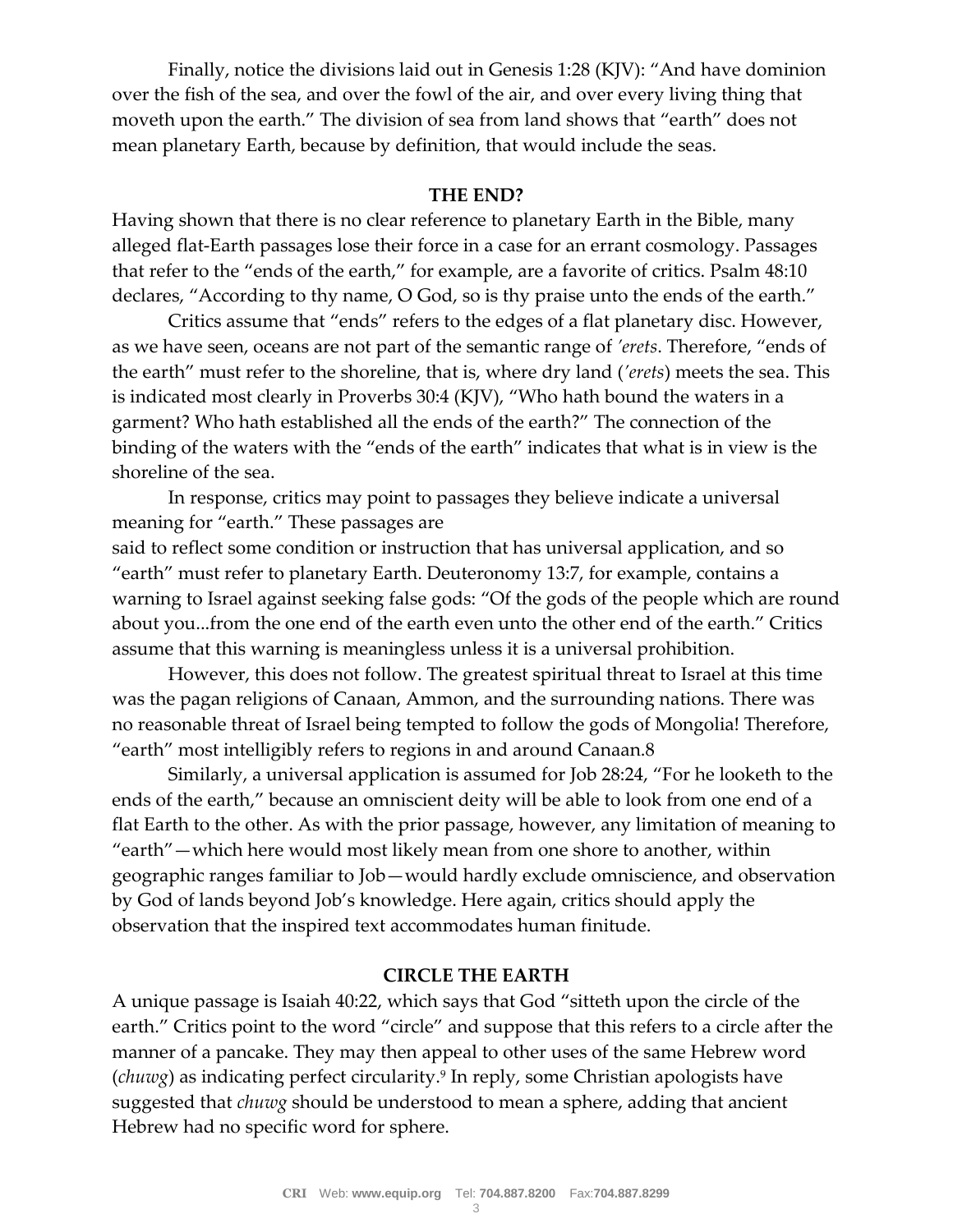Finally, notice the divisions laid out in Genesis 1:28 (KJV): "And have dominion over the fish of the sea, and over the fowl of the air, and over every living thing that moveth upon the earth." The division of sea from land shows that "earth" does not mean planetary Earth, because by definition, that would include the seas.

### **THE END?**

Having shown that there is no clear reference to planetary Earth in the Bible, many alleged flat-Earth passages lose their force in a case for an errant cosmology. Passages that refer to the "ends of the earth," for example, are a favorite of critics. Psalm 48:10 declares, "According to thy name, O God, so is thy praise unto the ends of the earth."

Critics assume that "ends" refers to the edges of a flat planetary disc. However, as we have seen, oceans are not part of the semantic range of *'erets*. Therefore, "ends of the earth" must refer to the shoreline, that is, where dry land (*'erets*) meets the sea. This is indicated most clearly in Proverbs 30:4 (KJV), "Who hath bound the waters in a garment? Who hath established all the ends of the earth?" The connection of the binding of the waters with the "ends of the earth" indicates that what is in view is the shoreline of the sea.

In response, critics may point to passages they believe indicate a universal meaning for "earth." These passages are

said to reflect some condition or instruction that has universal application, and so "earth" must refer to planetary Earth. Deuteronomy 13:7, for example, contains a warning to Israel against seeking false gods: "Of the gods of the people which are round about you...from the one end of the earth even unto the other end of the earth." Critics assume that this warning is meaningless unless it is a universal prohibition.

However, this does not follow. The greatest spiritual threat to Israel at this time was the pagan religions of Canaan, Ammon, and the surrounding nations. There was no reasonable threat of Israel being tempted to follow the gods of Mongolia! Therefore, "earth" most intelligibly refers to regions in and around Canaan.8

Similarly, a universal application is assumed for Job 28:24, "For he looketh to the ends of the earth," because an omniscient deity will be able to look from one end of a flat Earth to the other. As with the prior passage, however, any limitation of meaning to "earth"—which here would most likely mean from one shore to another, within geographic ranges familiar to Job—would hardly exclude omniscience, and observation by God of lands beyond Job's knowledge. Here again, critics should apply the observation that the inspired text accommodates human finitude.

## **CIRCLE THE EARTH**

A unique passage is Isaiah 40:22, which says that God "sitteth upon the circle of the earth." Critics point to the word "circle" and suppose that this refers to a circle after the manner of a pancake. They may then appeal to other uses of the same Hebrew word (*chuwg*) as indicating perfect circularity.<sup>9</sup> In reply, some Christian apologists have suggested that *chuwg* should be understood to mean a sphere, adding that ancient Hebrew had no specific word for sphere.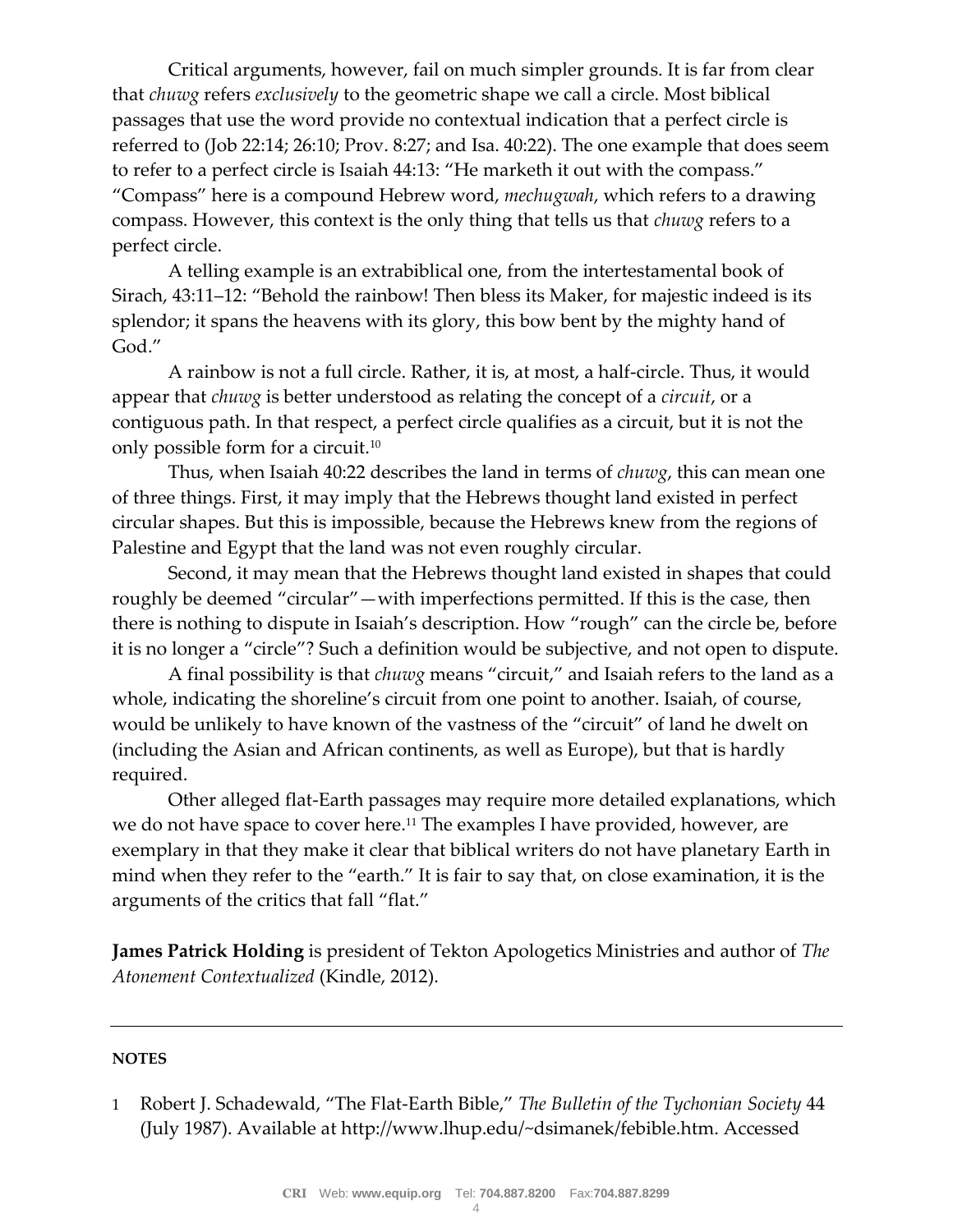Critical arguments, however, fail on much simpler grounds. It is far from clear that *chuwg* refers *exclusively* to the geometric shape we call a circle. Most biblical passages that use the word provide no contextual indication that a perfect circle is referred to (Job 22:14; 26:10; Prov. 8:27; and Isa. 40:22). The one example that does seem to refer to a perfect circle is Isaiah 44:13: "He marketh it out with the compass." "Compass" here is a compound Hebrew word, *mechugwah*, which refers to a drawing compass. However, this context is the only thing that tells us that *chuwg* refers to a perfect circle.

A telling example is an extrabiblical one, from the intertestamental book of Sirach, 43:11–12: "Behold the rainbow! Then bless its Maker, for majestic indeed is its splendor; it spans the heavens with its glory, this bow bent by the mighty hand of God."

A rainbow is not a full circle. Rather, it is, at most, a half-circle. Thus, it would appear that *chuwg* is better understood as relating the concept of a *circuit*, or a contiguous path. In that respect, a perfect circle qualifies as a circuit, but it is not the only possible form for a circuit.<sup>10</sup>

Thus, when Isaiah 40:22 describes the land in terms of *chuwg*, this can mean one of three things. First, it may imply that the Hebrews thought land existed in perfect circular shapes. But this is impossible, because the Hebrews knew from the regions of Palestine and Egypt that the land was not even roughly circular.

Second, it may mean that the Hebrews thought land existed in shapes that could roughly be deemed "circular"—with imperfections permitted. If this is the case, then there is nothing to dispute in Isaiah's description. How "rough" can the circle be, before it is no longer a "circle"? Such a definition would be subjective, and not open to dispute.

A final possibility is that *chuwg* means "circuit," and Isaiah refers to the land as a whole, indicating the shoreline's circuit from one point to another. Isaiah, of course, would be unlikely to have known of the vastness of the "circuit" of land he dwelt on (including the Asian and African continents, as well as Europe), but that is hardly required.

Other alleged flat-Earth passages may require more detailed explanations, which we do not have space to cover here.<sup>11</sup> The examples I have provided, however, are exemplary in that they make it clear that biblical writers do not have planetary Earth in mind when they refer to the "earth." It is fair to say that, on close examination, it is the arguments of the critics that fall "flat."

**James Patrick Holding** is president of Tekton Apologetics Ministries and author of *The Atonement Contextualized* (Kindle, 2012).

#### **NOTES**

1 Robert J. Schadewald, "The Flat-Earth Bible," *The Bulletin of the Tychonian Society* 44 (July 1987). Available at http://www.lhup.edu/~dsimanek/febible.htm. Accessed